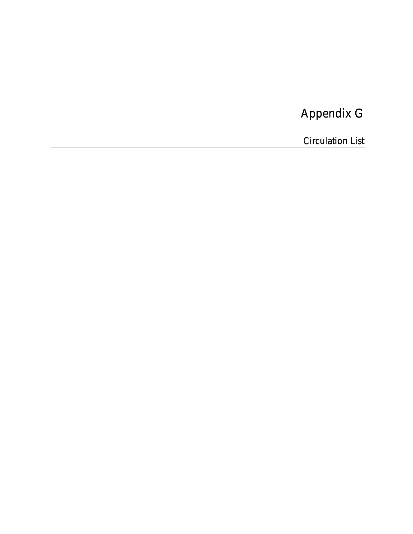# Appendix G

Circulation List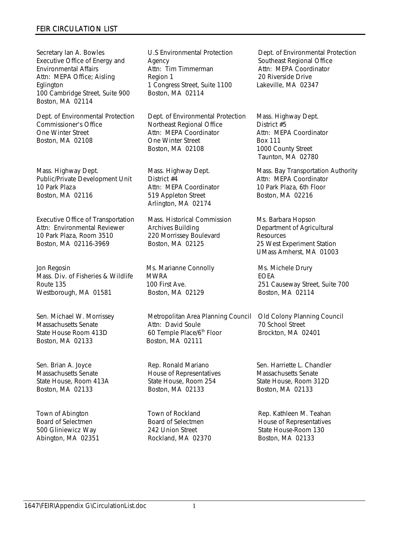Secretary Ian A. Bowles Executive Office of Energy and Environmental Affairs Attn: MEPA Office; Aisling Eglington 100 Cambridge Street, Suite 900 Boston, MA 02114

Dept. of Environmental Protection Commissioner's Office One Winter Street Boston, MA 02108

Mass. Highway Dept. Public/Private Development Unit 10 Park Plaza Boston, MA 02116

Executive Office of Transportation Attn: Environmental Reviewer 10 Park Plaza, Room 3510 Boston, MA 02116-3969

Jon Regosin Mass. Div. of Fisheries & Wildlife Route 135 Westborough, MA 01581

Sen. Michael W. Morrissey Massachusetts Senate State House Room 413D Boston, MA 02133

Sen. Brian A. Joyce Massachusetts Senate State House, Room 413A Boston, MA 02133

Town of Abington Board of Selectmen 500 Gliniewicz Way Abington, MA 02351

U.S Environmental Protection Agency Attn: Tim Timmerman Region 1 1 Congress Street, Suite 1100 Boston, MA 02114

Dept. of Environmental Protection Northeast Regional Office Attn: MEPA Coordinator One Winter Street Boston, MA 02108

Mass. Highway Dept. District #4 Attn: MEPA Coordinator 519 Appleton Street Arlington, MA 02174

Mass. Historical Commission Archives Building 220 Morrissey Boulevard Boston, MA 02125

Ms. Marianne Connolly MWRA 100 First Ave. Boston, MA 02129

Metropolitan Area Planning Council Attn: David Soule 60 Temple Place/6<sup>th</sup> Floor Boston, MA 02111

Rep. Ronald Mariano House of Representatives State House, Room 254 Boston, MA 02133

Town of Rockland Board of Selectmen 242 Union Street Rockland, MA 02370

Dept. of Environmental Protection Southeast Regional Office Attn: MEPA Coordinator 20 Riverside Drive Lakeville, MA 02347

Mass. Highway Dept. District #5 Attn: MEPA Coordinator Box 111 1000 County Street Taunton, MA 02780

Mass. Bay Transportation Authority Attn: MEPA Coordinator 10 Park Plaza, 6th Floor Boston, MA 02216

Ms. Barbara Hopson Department of Agricultural **Resources** 25 West Experiment Station UMass Amherst, MA 01003

Ms. Michele Drury EOEA 251 Causeway Street, Suite 700 Boston, MA 02114

Old Colony Planning Council 70 School Street Brockton, MA 02401

Sen. Harriette L. Chandler Massachusetts Senate State House, Room 312D Boston, MA 02133

Rep. Kathleen M. Teahan House of Representatives State House-Room 130 Boston, MA 02133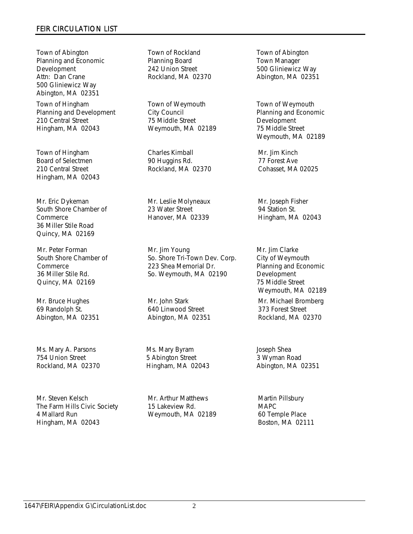Town of Abington Planning and Economic Development Attn: Dan Crane 500 Gliniewicz Way Abington, MA 02351

Town of Hingham Planning and Development 210 Central Street Hingham, MA 02043

Town of Hingham Board of Selectmen 210 Central Street Hingham, MA 02043

Mr. Eric Dykeman South Shore Chamber of Commerce 36 Miller Stile Road Quincy, MA 02169

Mr. Peter Forman South Shore Chamber of Commerce 36 Miller Stile Rd. Quincy, MA 02169

Mr. Bruce Hughes 69 Randolph St. Abington, MA 02351

Ms. Mary A. Parsons 754 Union Street Rockland, MA 02370

Mr. Steven Kelsch The Farm Hills Civic Society 4 Mallard Run Hingham, MA 02043

Town of Rockland Planning Board 242 Union Street Rockland, MA 02370

Town of Weymouth City Council 75 Middle Street Weymouth, MA 02189

Charles Kimball 90 Huggins Rd. Rockland, MA 02370

Mr. Leslie Molyneaux 23 Water Street Hanover, MA 02339

Mr. Jim Young So. Shore Tri-Town Dev. Corp. 223 Shea Memorial Dr. So. Weymouth, MA 02190

Mr. John Stark 640 Linwood Street Abington, MA 02351

Ms. Mary Byram 5 Abington Street Hingham, MA 02043

Mr. Arthur Matthews 15 Lakeview Rd. Weymouth, MA 02189

Town of Abington Town Manager 500 Gliniewicz Way Abington, MA 02351

Town of Weymouth Planning and Economic **Development** 75 Middle Street Weymouth, MA 02189

Mr. Jim Kinch 77 Forest Ave Cohasset, MA 02025

Mr. Joseph Fisher 94 Station St. Hingham, MA 02043

Mr. Jim Clarke City of Weymouth Planning and Economic **Development** 75 Middle Street Weymouth, MA 02189 Mr. Michael Bromberg 373 Forest Street Rockland, MA 02370

Joseph Shea 3 Wyman Road Abington, MA 02351

Martin Pillsbury MAPC 60 Temple Place Boston, MA 02111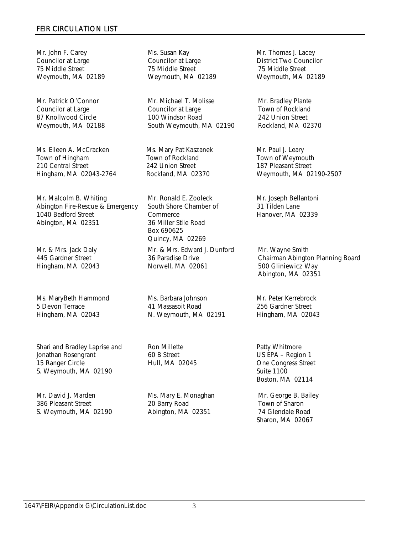Mr. John F. Carey Councilor at Large 75 Middle Street Weymouth, MA 02189

Mr. Patrick O'Connor Councilor at Large 87 Knollwood Circle Weymouth, MA 02188

Ms. Eileen A. McCracken Town of Hingham 210 Central Street Hingham, MA 02043-2764

Mr. Malcolm B. Whiting Abington Fire-Rescue & Emergency 1040 Bedford Street Abington, MA 02351

Mr. & Mrs. Jack Daly 445 Gardner Street Hingham, MA 02043

Ms. MaryBeth Hammond 5 Devon Terrace Hingham, MA 02043

Shari and Bradley Laprise and Jonathan Rosengrant 15 Ranger Circle S. Weymouth, MA 02190

Mr. David J. Marden 386 Pleasant Street S. Weymouth, MA 02190 Ms. Susan Kay Councilor at Large 75 Middle Street Weymouth, MA 02189

Mr. Michael T. Molisse Councilor at Large 100 Windsor Road South Weymouth, MA 02190

Ms. Mary Pat Kaszanek Town of Rockland 242 Union Street Rockland, MA 02370

Mr. Ronald E. Zooleck South Shore Chamber of **Commerce** 36 Miller Stile Road Box 690625 Quincy, MA 02269

Mr. & Mrs. Edward J. Dunford 36 Paradise Drive Norwell, MA 02061

Ms. Barbara Johnson 41 Massasoit Road N. Weymouth, MA 02191

Ron Millette 60 B Street Hull, MA 02045

Ms. Mary E. Monaghan 20 Barry Road Abington, MA 02351

Mr. Thomas J. Lacey District Two Councilor 75 Middle Street Weymouth, MA 02189

Mr. Bradley Plante Town of Rockland 242 Union Street Rockland, MA 02370

Mr. Paul J. Leary Town of Weymouth 187 Pleasant Street Weymouth, MA 02190-2507

Mr. Joseph Bellantoni 31 Tilden Lane Hanover, MA 02339

Mr. Wayne Smith Chairman Abington Planning Board 500 Gliniewicz Way Abington, MA 02351

Mr. Peter Kerrebrock 256 Gardner Street Hingham, MA 02043

Patty Whitmore US EPA – Region 1 One Congress Street Suite 1100 Boston, MA 02114

Mr. George B. Bailey Town of Sharon 74 Glendale Road Sharon, MA 02067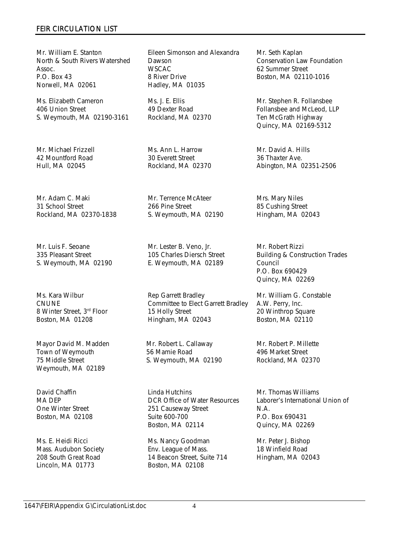Mr. William E. Stanton North & South Rivers Watershed Assoc. P.O. Box 43 Norwell, MA 02061

Ms. Elizabeth Cameron 406 Union Street S. Weymouth, MA 02190-3161

Mr. Michael Frizzell 42 Mountford Road Hull, MA 02045

Mr. Adam C. Maki 31 School Street Rockland, MA 02370-1838

Mr. Luis F. Seoane 335 Pleasant Street S. Weymouth, MA 02190

Ms. Kara Wilbur CNUNE 8 Winter Street, 3rd Floor Boston, MA 01208

Mayor David M. Madden Town of Weymouth 75 Middle Street Weymouth, MA 02189

David Chaffin MA DEP One Winter Street Boston, MA 02108

Ms. E. Heidi Ricci Mass. Audubon Society 208 South Great Road Lincoln, MA 01773

Eileen Simonson and Alexandra Dawson WSCAC 8 River Drive Hadley, MA 01035

Ms. J. E. Ellis 49 Dexter Road Rockland, MA 02370

Ms. Ann L. Harrow 30 Everett Street Rockland, MA 02370

Mr. Terrence McAteer 266 Pine Street S. Weymouth, MA 02190

Mr. Lester B. Veno, Jr. 105 Charles Diersch Street E. Weymouth, MA 02189

Rep Garrett Bradley Committee to Elect Garrett Bradley 15 Holly Street Hingham, MA 02043

Mr. Robert L. Callaway 56 Mamie Road S. Weymouth, MA 02190

Linda Hutchins DCR Office of Water Resources 251 Causeway Street Suite 600-700 Boston, MA 02114

Ms. Nancy Goodman Env. League of Mass. 14 Beacon Street, Suite 714 Boston, MA 02108

Mr. Seth Kaplan Conservation Law Foundation 62 Summer Street Boston, MA 02110-1016

Mr. Stephen R. Follansbee Follansbee and McLeod, LLP Ten McGrath Highway Quincy, MA 02169-5312

Mr. David A. Hills 36 Thaxter Ave. Abington, MA 02351-2506

Mrs. Mary Niles 85 Cushing Street Hingham, MA 02043

Mr. Robert Rizzi Building & Construction Trades Council P.O. Box 690429 Quincy, MA 02269

Mr. William G. Constable A.W. Perry, Inc. 20 Winthrop Square Boston, MA 02110

Mr. Robert P. Millette 496 Market Street Rockland, MA 02370

Mr. Thomas Williams Laborer's International Union of N.A. P.O. Box 690431 Quincy, MA 02269

Mr. Peter J. Bishop 18 Winfield Road Hingham, MA 02043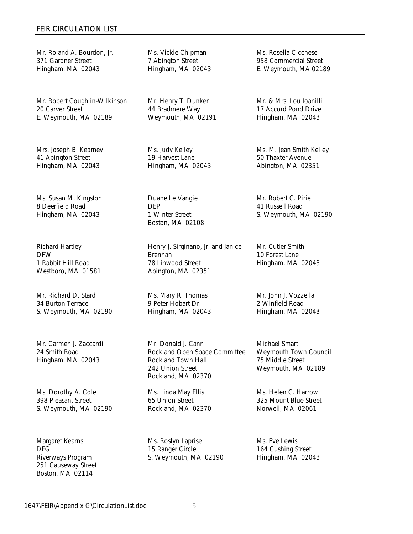Mr. Roland A. Bourdon, Jr. 371 Gardner Street Hingham, MA 02043

Mr. Robert Coughlin-Wilkinson 20 Carver Street E. Weymouth, MA 02189

Mrs. Joseph B. Kearney 41 Abington Street Hingham, MA 02043

Ms. Susan M. Kingston 8 Deerfield Road Hingham, MA 02043

Richard Hartley DFW 1 Rabbit Hill Road Westboro, MA 01581

Mr. Richard D. Stard 34 Burton Terrace S. Weymouth, MA 02190

Mr. Carmen J. Zaccardi 24 Smith Road Hingham, MA 02043

Ms. Dorothy A. Cole 398 Pleasant Street S. Weymouth, MA 02190

Margaret Kearns DFG Riverways Program 251 Causeway Street Boston, MA 02114

Ms. Vickie Chipman 7 Abington Street Hingham, MA 02043

Mr. Henry T. Dunker 44 Bradmere Way Weymouth, MA 02191

Ms. Judy Kelley 19 Harvest Lane Hingham, MA 02043

Duane Le Vangie DEP 1 Winter Street Boston, MA 02108

Henry J. Sirginano, Jr. and Janice Brennan 78 Linwood Street Abington, MA 02351

Ms. Mary R. Thomas 9 Peter Hobart Dr. Hingham, MA 02043

Mr. Donald J. Cann Rockland Open Space Committee Rockland Town Hall 242 Union Street Rockland, MA 02370

Ms. Linda May Ellis 65 Union Street Rockland, MA 02370

Ms. Roslyn Laprise 15 Ranger Circle S. Weymouth, MA 02190 Ms. Rosella Cicchese 958 Commercial Street E. Weymouth, MA 02189

Mr. & Mrs. Lou Ioanilli 17 Accord Pond Drive Hingham, MA 02043

Ms. M. Jean Smith Kelley 50 Thaxter Avenue Abington, MA 02351

Mr. Robert C. Pirie 41 Russell Road S. Weymouth, MA 02190

Mr. Cutler Smith 10 Forest Lane Hingham, MA 02043

Mr. John J. Vozzella 2 Winfield Road Hingham, MA 02043

Michael Smart Weymouth Town Council 75 Middle Street Weymouth, MA 02189

Ms. Helen C. Harrow 325 Mount Blue Street Norwell, MA 02061

Ms. Eve Lewis 164 Cushing Street Hingham, MA 02043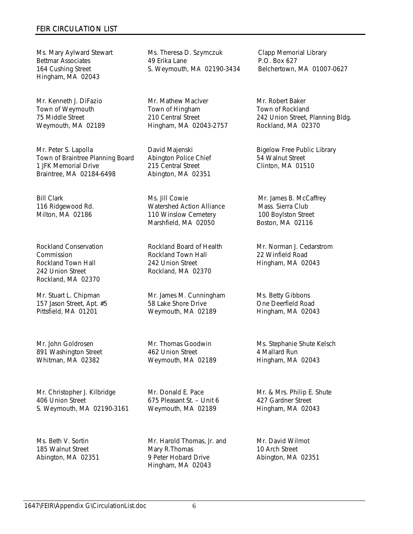Ms. Mary Aylward Stewart Bettmar Associates 164 Cushing Street Hingham, MA 02043

Mr. Kenneth J. DiFazio Town of Weymouth 75 Middle Street Weymouth, MA 02189

Mr. Peter S. Lapolla Town of Braintree Planning Board 1 JFK Memorial Drive Braintree, MA 02184-6498

Bill Clark 116 Ridgewood Rd. Milton, MA 02186

Rockland Conservation Commission Rockland Town Hall 242 Union Street Rockland, MA 02370

Mr. Stuart L. Chipman 157 Jason Street, Apt. #5 Pittsfield, MA 01201

Mr. John Goldrosen 891 Washington Street Whitman, MA 02382

Mr. Christopher J. Kilbridge 406 Union Street S. Weymouth, MA 02190-3161

Ms. Beth V. Sortin 185 Walnut Street Abington, MA 02351

Ms. Theresa D. Szymczuk 49 Erika Lane S. Weymouth, MA 02190-3434

Mr. Mathew MacIver Town of Hingham 210 Central Street Hingham, MA 02043-2757

David Majenski Abington Police Chief 215 Central Street Abington, MA 02351

Ms. Jill Cowie Watershed Action Alliance 110 Winslow Cemetery Marshfield, MA 02050

Rockland Board of Health Rockland Town Hall 242 Union Street Rockland, MA 02370

Mr. James M. Cunningham 58 Lake Shore Drive Weymouth, MA 02189

Mr. Thomas Goodwin 462 Union Street Weymouth, MA 02189

Mr. Donald E. Pace 675 Pleasant St. – Unit 6 Weymouth, MA 02189

Mr. Harold Thomas, Jr. and Mary R.Thomas 9 Peter Hobard Drive Hingham, MA 02043

Clapp Memorial Library P.O. Box 627 Belchertown, MA 01007-0627

Mr. Robert Baker Town of Rockland 242 Union Street, Planning Bldg. Rockland, MA 02370

Bigelow Free Public Library 54 Walnut Street Clinton, MA 01510

Mr. James B. McCaffrey Mass. Sierra Club 100 Boylston Street Boston, MA 02116

Mr. Norman J. Cedarstrom 22 Winfield Road Hingham, MA 02043

Ms. Betty Gibbons One Deerfield Road Hingham, MA 02043

Ms. Stephanie Shute Kelsch 4 Mallard Run Hingham, MA 02043

Mr. & Mrs. Philip E. Shute 427 Gardner Street Hingham, MA 02043

Mr. David Wilmot 10 Arch Street Abington, MA 02351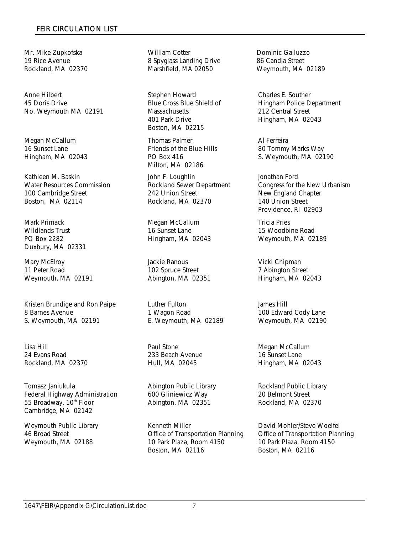Mr. Mike Zupkofska 19 Rice Avenue Rockland, MA 02370

Anne Hilbert 45 Doris Drive No. Weymouth MA 02191

Megan McCallum 16 Sunset Lane Hingham, MA 02043

Kathleen M. Baskin Water Resources Commission 100 Cambridge Street Boston, MA 02114

Mark Primack Wildlands Trust PO Box 2282 Duxbury, MA 02331

Mary McElroy 11 Peter Road Weymouth, MA 02191

Kristen Brundige and Ron Paipe 8 Barnes Avenue S. Weymouth, MA 02191

Lisa Hill 24 Evans Road Rockland, MA 02370

Tomasz Janiukula Federal Highway Administration 55 Broadway, 10<sup>th</sup> Floor Cambridge, MA 02142

Weymouth Public Library 46 Broad Street Weymouth, MA 02188

William Cotter 8 Spyglass Landing Drive Marshfield, MA 02050

Stephen Howard Blue Cross Blue Shield of **Massachusetts** 401 Park Drive Boston, MA 02215

Thomas Palmer Friends of the Blue Hills PO Box 416 Milton, MA 02186

John F. Loughlin Rockland Sewer Department 242 Union Street Rockland, MA 02370

Megan McCallum 16 Sunset Lane Hingham, MA 02043

Jackie Ranous 102 Spruce Street Abington, MA 02351

Luther Fulton 1 Wagon Road E. Weymouth, MA 02189

Paul Stone 233 Beach Avenue Hull, MA 02045

Abington Public Library 600 Gliniewicz Way Abington, MA 02351

Kenneth Miller Office of Transportation Planning 10 Park Plaza, Room 4150 Boston, MA 02116

Dominic Galluzzo 86 Candia Street Weymouth, MA 02189

Charles E. Souther Hingham Police Department 212 Central Street Hingham, MA 02043

Al Ferreira 80 Tommy Marks Way S. Weymouth, MA 02190

Jonathan Ford Congress for the New Urbanism New England Chapter 140 Union Street Providence, RI 02903

Tricia Pries 15 Woodbine Road Weymouth, MA 02189

Vicki Chipman 7 Abington Street Hingham, MA 02043

James Hill 100 Edward Cody Lane Weymouth, MA 02190

Megan McCallum 16 Sunset Lane Hingham, MA 02043

Rockland Public Library 20 Belmont Street Rockland, MA 02370

David Mohler/Steve Woelfel Office of Transportation Planning 10 Park Plaza, Room 4150 Boston, MA 02116